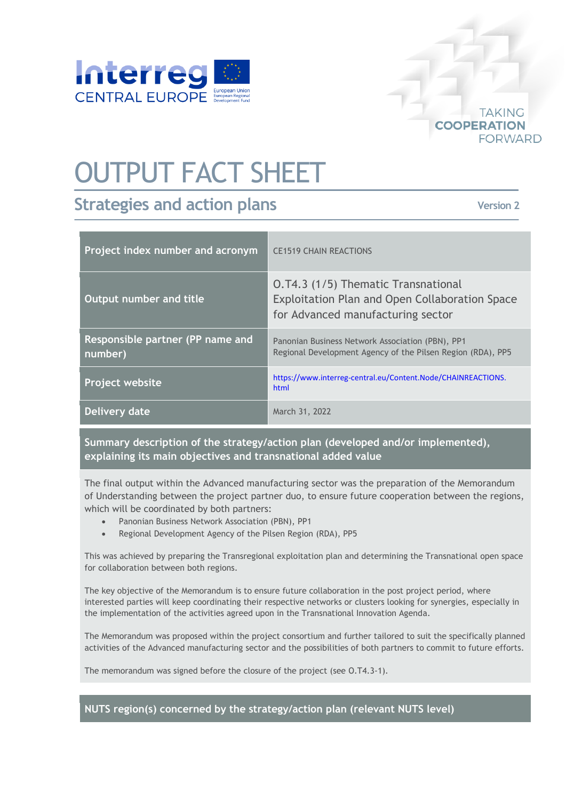

## OUTPUT FACT SHEET

## **Strategies and action plans**

**Version 2**

**TAKING** 

**FORWARD** 

**COOPERATION** 

| Project index number and acronym            | <b>CE1519 CHAIN REACTIONS</b>                                                                                              |
|---------------------------------------------|----------------------------------------------------------------------------------------------------------------------------|
| Output number and title                     | O.T4.3 (1/5) Thematic Transnational<br>Exploitation Plan and Open Collaboration Space<br>for Advanced manufacturing sector |
| Responsible partner (PP name and<br>number) | Panonian Business Network Association (PBN), PP1<br>Regional Development Agency of the Pilsen Region (RDA), PP5            |
| <b>Project website</b>                      | https://www.interreg-central.eu/Content.Node/CHAINREACTIONS.<br>html                                                       |
| Delivery date                               | March 31, 2022                                                                                                             |

**Summary description of the strategy/action plan (developed and/or implemented), explaining its main objectives and transnational added value**

The final output within the Advanced manufacturing sector was the preparation of the Memorandum of Understanding between the project partner duo, to ensure future cooperation between the regions, which will be coordinated by both partners:

- Panonian Business Network Association (PBN), PP1
- Regional Development Agency of the Pilsen Region (RDA), PP5

This was achieved by preparing the Transregional exploitation plan and determining the Transnational open space for collaboration between both regions.

The key objective of the Memorandum is to ensure future collaboration in the post project period, where interested parties will keep coordinating their respective networks or clusters looking for synergies, especially in the implementation of the activities agreed upon in the Transnational Innovation Agenda.

The Memorandum was proposed within the project consortium and further tailored to suit the specifically planned activities of the Advanced manufacturing sector and the possibilities of both partners to commit to future efforts.

The memorandum was signed before the closure of the project (see O.T4.3-1).

## **NUTS region(s) concerned by the strategy/action plan (relevant NUTS level)**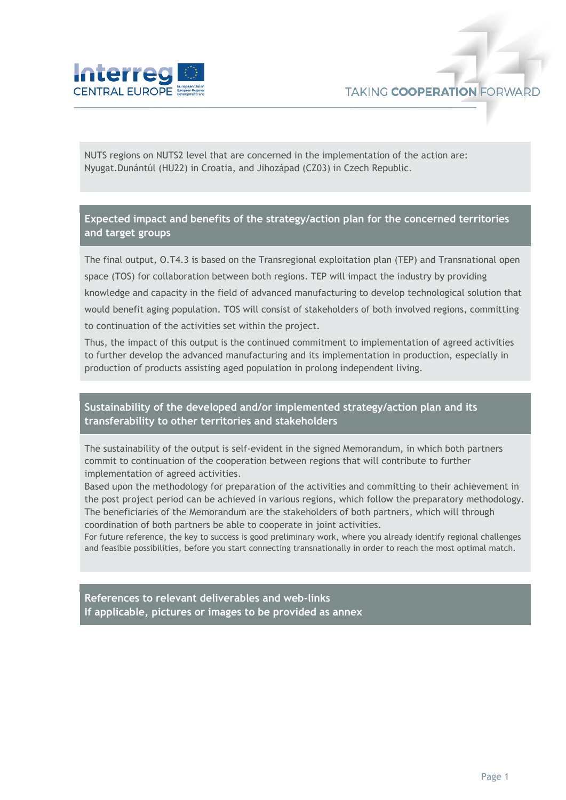

NUTS regions on NUTS2 level that are concerned in the implementation of the action are: Nyugat.Dunántúl (HU22) in Croatia, and Jihozápad (CZ03) in Czech Republic.

**Expected impact and benefits of the strategy/action plan for the concerned territories and target groups**

The final output, O.T4.3 is based on the Transregional exploitation plan (TEP) and Transnational open space (TOS) for collaboration between both regions. TEP will impact the industry by providing knowledge and capacity in the field of advanced manufacturing to develop technological solution that would benefit aging population. TOS will consist of stakeholders of both involved regions, committing to continuation of the activities set within the project.

Thus, the impact of this output is the continued commitment to implementation of agreed activities to further develop the advanced manufacturing and its implementation in production, especially in production of products assisting aged population in prolong independent living.

## **Sustainability of the developed and/or implemented strategy/action plan and its transferability to other territories and stakeholders**

The sustainability of the output is self-evident in the signed Memorandum, in which both partners commit to continuation of the cooperation between regions that will contribute to further implementation of agreed activities.

Based upon the methodology for preparation of the activities and committing to their achievement in the post project period can be achieved in various regions, which follow the preparatory methodology. The beneficiaries of the Memorandum are the stakeholders of both partners, which will through coordination of both partners be able to cooperate in joint activities.

For future reference, the key to success is good preliminary work, where you already identify regional challenges and feasible possibilities, before you start connecting transnationally in order to reach the most optimal match.

**References to relevant deliverables and web-links If applicable, pictures or images to be provided as annex**